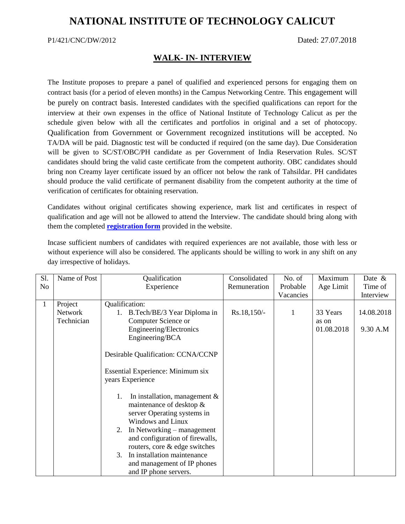## **NATIONAL INSTITUTE OF TECHNOLOGY CALICUT**

## P1/421/CNC/DW/2012 Dated: 27.07.2018

## **WALK- IN- INTERVIEW**

The Institute proposes to prepare a panel of qualified and experienced persons for engaging them on contract basis (for a period of eleven months) in the Campus Networking Centre. This engagement will be purely on contract basis. Interested candidates with the specified qualifications can report for the interview at their own expenses in the office of National Institute of Technology Calicut as per the schedule given below with all the certificates and portfolios in original and a set of photocopy. Qualification from Government or Government recognized institutions will be accepted. No TA/DA will be paid. Diagnostic test will be conducted if required (on the same day). Due Consideration will be given to SC/ST/OBC/PH candidate as per Government of India Reservation Rules. SC/ST candidates should bring the valid caste certificate from the competent authority. OBC candidates should bring non Creamy layer certificate issued by an officer not below the rank of Tahsildar. PH candidates should produce the valid certificate of permanent disability from the competent authority at the time of verification of certificates for obtaining reservation.

Candidates without original certificates showing experience, mark list and certificates in respect of qualification and age will not be allowed to attend the Interview. The candidate should bring along with them the completed **[registration form](http://nitc.ac.in/app/webroot/img/upload/newsfile_1649.pdf)** provided in the website.

Incase sufficient numbers of candidates with required experiences are not available, those with less or without experience will also be considered. The applicants should be willing to work in any shift on any day irrespective of holidays.

| $\mathbf{1}$<br>Project<br>Qualification:<br>$Rs.18,150/-$<br>33 Years<br>Network<br>1. B.Tech/BE/3 Year Diploma in<br>1<br>Technician<br>Computer Science or<br>as on<br>Engineering/Electronics<br>01.08.2018<br>Engineering/BCA<br>Desirable Qualification: CCNA/CCNP<br><b>Essential Experience: Minimum six</b><br>years Experience<br>In installation, management $\&$<br>1.<br>maintenance of desktop $\&$<br>server Operating systems in<br>Windows and Linux<br>2. In Networking – management<br>and configuration of firewalls,<br>routers, core & edge switches<br>3. In installation maintenance | S1.<br>No | Name of Post | Qualification<br>Experience | Consolidated<br>Remuneration | No. of<br>Probable<br>Vacancies | Maximum<br>Age Limit | Date $\&$<br>Time of<br>Interview |
|--------------------------------------------------------------------------------------------------------------------------------------------------------------------------------------------------------------------------------------------------------------------------------------------------------------------------------------------------------------------------------------------------------------------------------------------------------------------------------------------------------------------------------------------------------------------------------------------------------------|-----------|--------------|-----------------------------|------------------------------|---------------------------------|----------------------|-----------------------------------|
| and IP phone servers.                                                                                                                                                                                                                                                                                                                                                                                                                                                                                                                                                                                        |           |              | and management of IP phones |                              |                                 |                      | 14.08.2018<br>9.30 A.M            |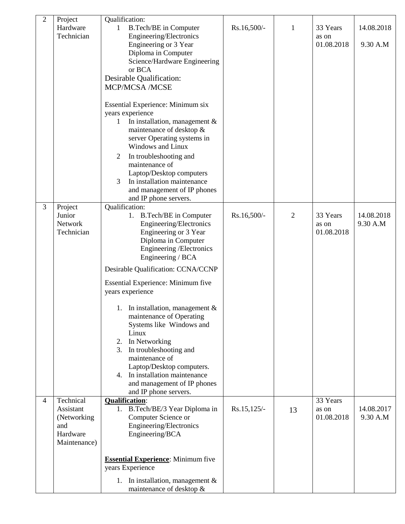| $\overline{2}$ | Project<br>Hardware<br>Technician                                        | Qualification:<br><b>B.Tech/BE</b> in Computer<br>1<br>Engineering/Electronics<br>Engineering or 3 Year<br>Diploma in Computer<br>Science/Hardware Engineering<br>or BCA<br>Desirable Qualification:<br><b>MCP/MCSA /MCSE</b><br>Essential Experience: Minimum six<br>years experience<br>In installation, management $\&$<br>1<br>maintenance of desktop &<br>server Operating systems in<br>Windows and Linux<br>In troubleshooting and<br>2<br>maintenance of<br>Laptop/Desktop computers<br>3<br>In installation maintenance<br>and management of IP phones<br>and IP phone servers. | Rs.16,500/-   | 1  | 33 Years<br>as on<br>01.08.2018 | 14.08.2018<br>9.30 A.M |
|----------------|--------------------------------------------------------------------------|------------------------------------------------------------------------------------------------------------------------------------------------------------------------------------------------------------------------------------------------------------------------------------------------------------------------------------------------------------------------------------------------------------------------------------------------------------------------------------------------------------------------------------------------------------------------------------------|---------------|----|---------------------------------|------------------------|
| 3              | Project<br>Junior<br>Network<br>Technician                               | Qualification:<br>1. B.Tech/BE in Computer<br>Engineering/Electronics<br>Engineering or 3 Year<br>Diploma in Computer<br>Engineering / Electronics<br>Engineering / BCA<br>Desirable Qualification: CCNA/CCNP<br>Essential Experience: Minimum five<br>years experience<br>1. In installation, management $&$<br>maintenance of Operating<br>Systems like Windows and<br>Linux<br>2. In Networking<br>3. In troubleshooting and<br>maintenance of<br>Laptop/Desktop computers.<br>4. In installation maintenance<br>and management of IP phones<br>and IP phone servers.                 | Rs.16,500/-   | 2  | 33 Years<br>as on<br>01.08.2018 | 14.08.2018<br>9.30 A.M |
| $\overline{4}$ | Technical<br>Assistant<br>(Networking<br>and<br>Hardware<br>Maintenance) | <b>Qualification:</b><br>1. B.Tech/BE/3 Year Diploma in<br>Computer Science or<br>Engineering/Electronics<br>Engineering/BCA<br><b>Essential Experience:</b> Minimum five<br>years Experience<br>1. In installation, management $&$<br>maintenance of desktop $\&$                                                                                                                                                                                                                                                                                                                       | $Rs.15,125/-$ | 13 | 33 Years<br>as on<br>01.08.2018 | 14.08.2017<br>9.30 A.M |